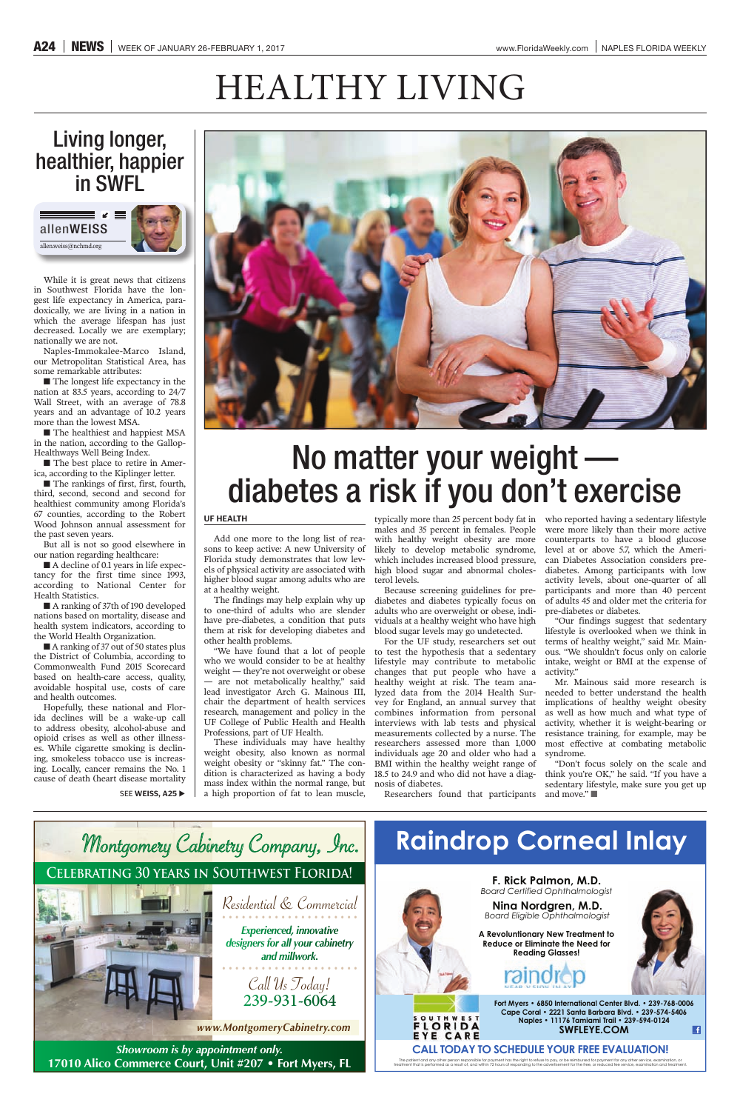Call Us Today! 239-931-6064

Residential & Commercial **Experienced, innovative** *designers for allyour cabinetry and millwork.*

*Showroom is by appointment only.* **17010 Alico Commerce Court, Unit #207 • Fort Myers, FL** 



**F. Rick Palmon, M.D. Board Certified Ophthalmologist** 



# **Raindrop Corneal Inlay**

### **Celebrating 30 years in Southwest Florida!**



*www.MontgomeryCabinetry.com* 

■ The longest life expectancy in the nation at 83.5 years, according to 24/7 Wall Street, with an average of 78.8 years and an advantage of 10.2 years more than the lowest MSA.

■ The healthiest and happiest MSA in the nation, according to the Gallop-Healthways Well Being Index.

> **Nina Nordgren, M.D.** *Board Eligible Ophthalmologist*

**A Revoluntionary New Treatment to Reduce or Eliminate the Need for Reading Glasses!** 





Fort Myers · 6850 International Center Blvd. · 239-768-0006 Cape Coral · 2221 Santa Barbara Blvd. · 239-574-5406 Naples • 11176 Tamiami Trail • 239-594-0124 **SWFLEYE.COM**  $\blacksquare$ 

### **CALL TODAY TO SCHEDULE YOUR FREE EVALUATION!**

The patient and any other person responsible for payment has the right to refuse to pay, or be reimbursed for payment for any other service, examination, or<br>treatment that is performed as a result of, and within 72 hours o

■ The best place to retire in America, according to the Kiplinger letter.

■ The rankings of first, first, fourth, third, second, second and second for healthiest community among Florida's 67 counties, according to the Robert Wood Johnson annual assessment for the past seven years.

■ A decline of 0.1 years in life expectancy for the first time since 1993, according to National Center for Health Statistics.

# HEALTHY LIVING

## Living longer, healthier, happier in SWFL

■ A ranking of 37th of 190 developed nations based on mortality, disease and health system indicators, according to the World Health Organization.

■ A ranking of 37 out of 50 states plus the District of Columbia, according to Commonwealth Fund 2015 Scorecard based on health-care access, quality, avoidable hospital use, costs of care and health outcomes.

While it is great news that citizens in Southwest Florida have the longest life expectancy in America, paradoxically, we are living in a nation in which the average lifespan has just decreased. Locally we are exemplary; nationally we are not.

Naples-Immokalee-Marco Island, our Metropolitan Statistical Area, has some remarkable attributes:

But all is not so good elsewhere in our nation regarding healthcare:

Hopefully, these national and Florida declines will be a wake-up call to address obesity, alcohol-abuse and opioid crises as well as other illnesses. While cigarette smoking is declining, smokeless tobacco use is increasing. Locally, cancer remains the No. 1 cause of death (heart disease mortality

SEE **WEISS, A25** 



# No matter your weight diabetes a risk if you don't exercise

#### **UF HEALTH**

Add one more to the long list of reasons to keep active: A new University of Florida study demonstrates that low levels of physical activity are associated with higher blood sugar among adults who are at a healthy weight.

The findings may help explain why up to one-third of adults who are slender have pre-diabetes, a condition that puts them at risk for developing diabetes and other health problems.

"We have found that a lot of people who we would consider to be at healthy weight — they're not overweight or obese — are not metabolically healthy," said lead investigator Arch G. Mainous III, chair the department of health services research, management and policy in the UF College of Public Health and Health Professions, part of UF Health.

These individuals may have healthy weight obesity, also known as normal weight obesity or "skinny fat." The condition is characterized as having a body mass index within the normal range, but a high proportion of fat to lean muscle,

with healthy weight obesity are more likely to develop metabolic syndrome, which includes increased blood pressure, high blood sugar and abnormal cholesterol levels.

Because screening guidelines for prediabetes and diabetes typically focus on adults who are overweight or obese, individuals at a healthy weight who have high blood sugar levels may go undetected.

typically more than 25 percent body fat in who reported having a sedentary lifestyle males and 35 percent in females. People were more likely than their more active counterparts to have a blood glucose level at or above 5.7, which the American Diabetes Association considers prediabetes. Among participants with low activity levels, about one-quarter of all participants and more than 40 percent of adults 45 and older met the criteria for pre-diabetes or diabetes.

For the UF study, researchers set out to test the hypothesis that a sedentary lifestyle may contribute to metabolic changes that put people who have a healthy weight at risk. The team analyzed data from the 2014 Health Survey for England, an annual survey that combines information from personal interviews with lab tests and physical measurements collected by a nurse. The researchers assessed more than 1,000 individuals age 20 and older who had a BMI within the healthy weight range of 18.5 to 24.9 and who did not have a diagnosis of diabetes.

Researchers found that participants

"Our findings suggest that sedentary lifestyle is overlooked when we think in terms of healthy weight," said Mr. Mainous. "We shouldn't focus only on calorie intake, weight or BMI at the expense of activity."

Mr. Mainous said more research is needed to better understand the health implications of healthy weight obesity as well as how much and what type of activity, whether it is weight-bearing or resistance training, for example, may be most effective at combating metabolic syndrome.

"Don't focus solely on the scale and think you're OK," he said. "If you have a sedentary lifestyle, make sure you get up and move." ■